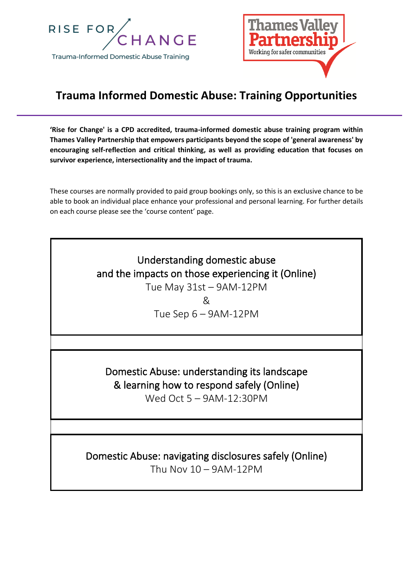



## **Trauma Informed Domestic Abuse: Training Opportunities**

**'Rise for Change' is a CPD accredited, trauma-informed domestic abuse training program within Thames Valley Partnership that empowers participants beyond the scope of 'general awareness' by encouraging self-reflection and critical thinking, as well as providing education that focuses on survivor experience, intersectionality and the impact of trauma.** 

These courses are normally provided to paid group bookings only, so this is an exclusive chance to be able to book an individual place enhance your professional and personal learning. For further details on each course please see the 'course content' page.

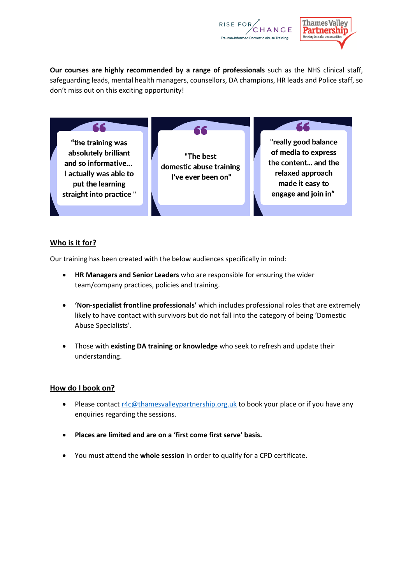



**Our courses are highly recommended by a range of professionals** such as the NHS clinical staff, safeguarding leads, mental health managers, counsellors, DA champions, HR leads and Police staff, so don't miss out on this exciting opportunity!

"the training was absolutely brilliant and so informative... I actually was able to put the learning straight into practice "

66

"The best domestic abuse training I've ever been on"

66

"really good balance of media to express the content... and the relaxed approach made it easy to engage and join in"

## **Who is it for?**

Our training has been created with the below audiences specifically in mind:

- **HR Managers and Senior Leaders** who are responsible for ensuring the wider team/company practices, policies and training.
- **'Non-specialist frontline professionals'** which includes professional roles that are extremely likely to have contact with survivors but do not fall into the category of being 'Domestic Abuse Specialists'.
- Those with **existing DA training or knowledge** who seek to refresh and update their understanding.

## **How do I book on?**

- Please contact [r4c@thamesvalleypartnership.org.uk](mailto:r4c@thamesvalleypartnership.org.uk) to book your place or if you have any enquiries regarding the sessions.
- **Places are limited and are on a 'first come first serve' basis.**
- You must attend the **whole session** in order to qualify for a CPD certificate.